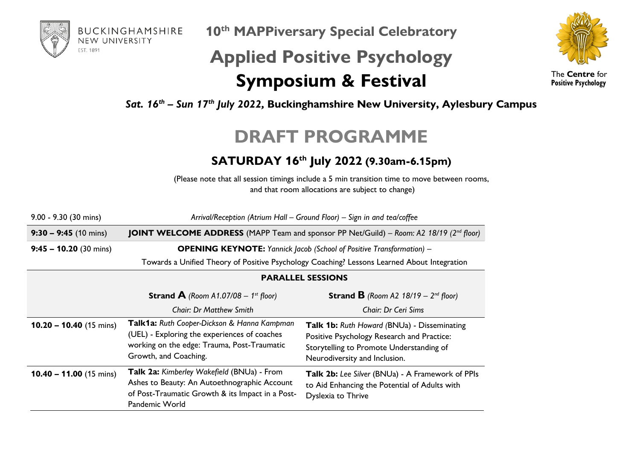

**10th MAPPiversary Special Celebratory**

## **Applied Positive Psychology Symposium & Festival**



The **Centre** for **Positive Psychology**

*Sat. 16th – Sun 17th July 2022,* **Buckinghamshire New University, Aylesbury Campus**

## **DRAFT PROGRAMME**

## **SATURDAY 16th July 2022 (9.30am-6.15pm)**

(Please note that all session timings include a 5 min transition time to move between rooms, and that room allocations are subject to change)

| $9.00 - 9.30$ (30 mins)   | Arrival/Reception (Atrium Hall - Ground Floor) - Sign in and tea/coffee                                                                                             |                                                                                                                                                                        |  |
|---------------------------|---------------------------------------------------------------------------------------------------------------------------------------------------------------------|------------------------------------------------------------------------------------------------------------------------------------------------------------------------|--|
| $9:30 - 9:45$ (10 mins)   | <b>JOINT WELCOME ADDRESS</b> (MAPP Team and sponsor PP Net/Guild) – Room: A2 18/19 ( $2^{nd}$ floor)                                                                |                                                                                                                                                                        |  |
| $9:45 - 10.20$ (30 mins)  | <b>OPENING KEYNOTE:</b> Yannick Jacob (School of Positive Transformation) -                                                                                         |                                                                                                                                                                        |  |
|                           | Towards a Unified Theory of Positive Psychology Coaching? Lessons Learned About Integration                                                                         |                                                                                                                                                                        |  |
|                           | <b>PARALLEL SESSIONS</b>                                                                                                                                            |                                                                                                                                                                        |  |
|                           | <b>Strand A</b> (Room A1.07/08 – 1 <sup>st</sup> floor)                                                                                                             | <b>Strand B</b> (Room A2 $18/19 - 2^{nd}$ floor)                                                                                                                       |  |
|                           | <b>Chair: Dr Matthew Smith</b>                                                                                                                                      | Chair: Dr Ceri Sims                                                                                                                                                    |  |
| $10.20 - 10.40$ (15 mins) | Talk1a: Ruth Cooper-Dickson & Hanna Kampman<br>(UEL) - Exploring the experiences of coaches<br>working on the edge: Trauma, Post-Traumatic<br>Growth, and Coaching. | Talk 1b: Ruth Howard (BNUa) - Disseminating<br>Positive Psychology Research and Practice:<br>Storytelling to Promote Understanding of<br>Neurodiversity and Inclusion. |  |
| $10.40 - 11.00$ (15 mins) | Talk 2a: Kimberley Wakefield (BNUa) - From<br>Ashes to Beauty: An Autoethnographic Account<br>of Post-Traumatic Growth & its Impact in a Post-<br>Pandemic World    | Talk 2b: Lee Silver (BNUa) - A Framework of PPIs<br>to Aid Enhancing the Potential of Adults with<br>Dyslexia to Thrive                                                |  |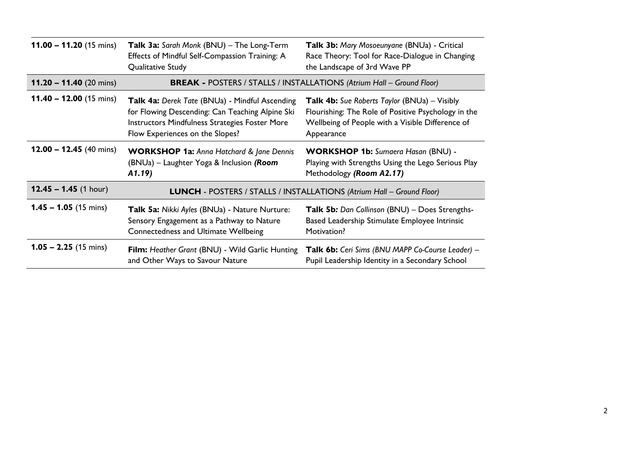| 11.00 $-$ 11.20 (15 mins)         | Talk 3a: Sarah Monk (BNU) - The Long-Term<br>Effects of Mindful Self-Compassion Training: A<br>Qualitative Study                                                                       | Talk 3b: Mary Mosoeunyane (BNUa) - Critical<br>Race Theory: Tool for Race-Dialogue in Changing<br>the Landscape of 3rd Wave PP                                               |  |
|-----------------------------------|----------------------------------------------------------------------------------------------------------------------------------------------------------------------------------------|------------------------------------------------------------------------------------------------------------------------------------------------------------------------------|--|
| 11.20 - 11.40 $(20 \text{ mins})$ | <b>BREAK - POSTERS / STALLS / INSTALLATIONS (Atrium Hall - Ground Floor)</b>                                                                                                           |                                                                                                                                                                              |  |
| $11.40 - 12.00$ (15 mins)         | Talk 4a: Derek Tate (BNUa) - Mindful Ascending<br>for Flowing Descending: Can Teaching Alpine Ski<br>Instructors Mindfulness Strategies Foster More<br>Flow Experiences on the Slopes? | <b>Talk 4b:</b> Sue Roberts Taylor (BNUa) – Visibly<br>Flourishing: The Role of Positive Psychology in the<br>Wellbeing of People with a Visible Difference of<br>Appearance |  |
| $12.00 - 12.45$ (40 mins)         | <b>WORKSHOP 1a: Anna Hatchard &amp; Jane Dennis</b><br>(BNUa) – Laughter Yoga & Inclusion (Room<br>A1.19                                                                               | <b>WORKSHOP 1b:</b> Sumaera Hasan (BNU) -<br>Playing with Strengths Using the Lego Serious Play<br>Methodology (Room A2.17)                                                  |  |
| $12.45 - 1.45$ (1 hour)           | LUNCH - POSTERS / STALLS / INSTALLATIONS (Atrium Hall - Ground Floor)                                                                                                                  |                                                                                                                                                                              |  |
| $1.45 - 1.05$ (15 mins)           | Talk 5a: Nikki Ayles (BNUa) - Nature Nurture:<br>Sensory Engagement as a Pathway to Nature<br>Connectedness and Ultimate Wellbeing                                                     | Talk 5b: Dan Collinson (BNU) - Does Strengths-<br>Based Leadership Stimulate Employee Intrinsic<br>Motivation?                                                               |  |
| $1.05 - 2.25$ (15 mins)           | Film: Heather Grant (BNU) - Wild Garlic Hunting<br>and Other Ways to Savour Nature                                                                                                     | Talk 6b: Ceri Sims (BNU MAPP Co-Course Leader) -<br>Pupil Leadership Identity in a Secondary School                                                                          |  |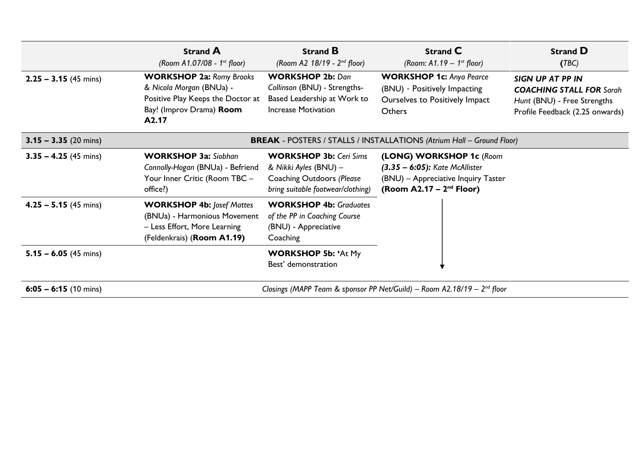|                         | <b>Strand A</b><br>(Room A1.07/08 - 1st floor)                                                                                        | <b>Strand B</b><br>(Room A2 $18/19 - 2^{nd}$ floor)                                                                             | <b>Strand C</b><br>(Room: $A1.19 - 1^{st}$ floor)                                                                                  | <b>Strand D</b><br>(TBC)                                                                                              |
|-------------------------|---------------------------------------------------------------------------------------------------------------------------------------|---------------------------------------------------------------------------------------------------------------------------------|------------------------------------------------------------------------------------------------------------------------------------|-----------------------------------------------------------------------------------------------------------------------|
| $2.25 - 3.15$ (45 mins) | <b>WORKSHOP 2a: Romy Brooks</b><br>& Nicola Morgan (BNUa) -<br>Positive Play Keeps the Doctor at<br>Bay! (Improv Drama) Room<br>A2.17 | <b>WORKSHOP 2b: Dan</b><br>Collinson (BNU) - Strengths-<br>Based Leadership at Work to<br><b>Increase Motivation</b>            | <b>WORKSHOP 1c: Anya Pearce</b><br>(BNU) - Positively Impacting<br>Ourselves to Positively Impact<br><b>Others</b>                 | SIGN UP AT PP IN<br><b>COACHING STALL FOR Sarah</b><br>Hunt (BNU) - Free Strengths<br>Profile Feedback (2.25 onwards) |
| $3.15 - 3.35$ (20 mins) | <b>BREAK</b> - POSTERS / STALLS / INSTALLATIONS (Atrium Hall - Ground Floor)                                                          |                                                                                                                                 |                                                                                                                                    |                                                                                                                       |
| $3.35 - 4.25$ (45 mins) | <b>WORKSHOP 3a: Siobhan</b><br>Connolly-Hogan (BNUa) - Befriend<br>Your Inner Critic (Room TBC -<br>office?)                          | <b>WORKSHOP 3b: Ceri Sims</b><br>& Nikki Ayles (BNU) -<br><b>Coaching Outdoors (Please</b><br>bring suitable footwear/clothing) | (LONG) WORKSHOP 1c (Room<br>$(3.35 - 6:05)$ : Kate McAllister<br>(BNU) - Appreciative Inquiry Taster<br>(Room A2.17 – $2nd$ Floor) |                                                                                                                       |
| $4.25 - 5.15$ (45 mins) | <b>WORKSHOP 4b: Josef Mattes</b><br>(BNUa) - Harmonious Movement<br>- Less Effort, More Learning<br>(Feldenkrais) (Room A1.19)        | <b>WORKSHOP 4b: Graduates</b><br>of the PP in Coaching Course<br>(BNU) - Appreciative<br>Coaching                               |                                                                                                                                    |                                                                                                                       |
| $5.15 - 6.05$ (45 mins) |                                                                                                                                       | <b>WORKSHOP 5b: 'At My</b><br>Best' demonstration                                                                               |                                                                                                                                    |                                                                                                                       |
| $6:05 - 6:15$ (10 mins) | Closings (MAPP Team & sponsor PP Net/Guild) – Room A2.18/19 – $2^{nd}$ floor                                                          |                                                                                                                                 |                                                                                                                                    |                                                                                                                       |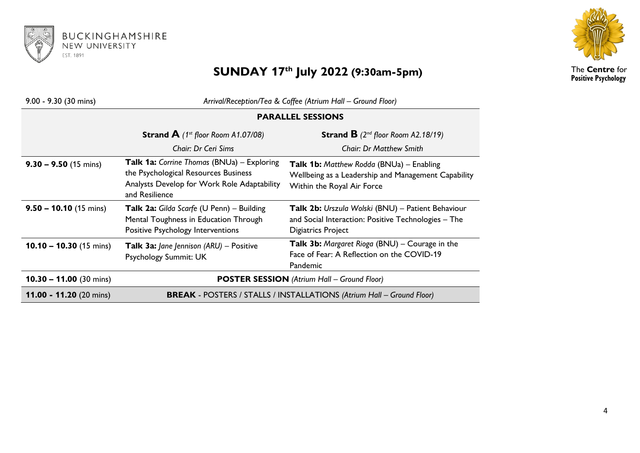



## **SUNDAY 17th July 2022 (9:30am-5pm)**

The **Centre** for **Positive Psychology**

| $9.00 - 9.30$ (30 mins)           | Arrival/Reception/Tea & Coffee (Atrium Hall - Ground Floor)                                                                                                |                                                                                                                                |  |
|-----------------------------------|------------------------------------------------------------------------------------------------------------------------------------------------------------|--------------------------------------------------------------------------------------------------------------------------------|--|
|                                   | <b>PARALLEL SESSIONS</b>                                                                                                                                   |                                                                                                                                |  |
|                                   | <b>Strand A</b> (1 <sup>st</sup> floor Room A1.07/08)                                                                                                      | <b>Strand B</b> $(2^{nd}$ floor Room A2.18/19)                                                                                 |  |
|                                   | Chair: Dr Ceri Sims                                                                                                                                        | <b>Chair: Dr Matthew Smith</b>                                                                                                 |  |
| $9.30 - 9.50$ (15 mins)           | <b>Talk 1a:</b> Corrine Thomas (BNUa) – Exploring<br>the Psychological Resources Business<br>Analysts Develop for Work Role Adaptability<br>and Resilience | Talk 1b: Matthew Rodda (BNUa) - Enabling<br>Wellbeing as a Leadership and Management Capability<br>Within the Royal Air Force  |  |
| $9.50 - 10.10$ (15 mins)          | Talk 2a: Gilda Scarfe (U Penn) - Building<br>Mental Toughness in Education Through<br>Positive Psychology Interventions                                    | Talk 2b: Urszula Wolski (BNU) - Patient Behaviour<br>and Social Interaction: Positive Technologies - The<br>Digiatrics Project |  |
| 10.10 - 10.30 $(15 \text{ mins})$ | Talk 3a: Jane Jennison (ARU) - Positive<br>Psychology Summit: UK                                                                                           | Talk 3b: Margaret Rioga (BNU) - Courage in the<br>Face of Fear: A Reflection on the COVID-19<br>Pandemic                       |  |
| $10.30 - 11.00$ (30 mins)         | <b>POSTER SESSION</b> (Atrium Hall - Ground Floor)                                                                                                         |                                                                                                                                |  |
| 11.00 - 11.20 $(20 \text{ mins})$ | <b>BREAK - POSTERS / STALLS / INSTALLATIONS (Atrium Hall - Ground Floor)</b>                                                                               |                                                                                                                                |  |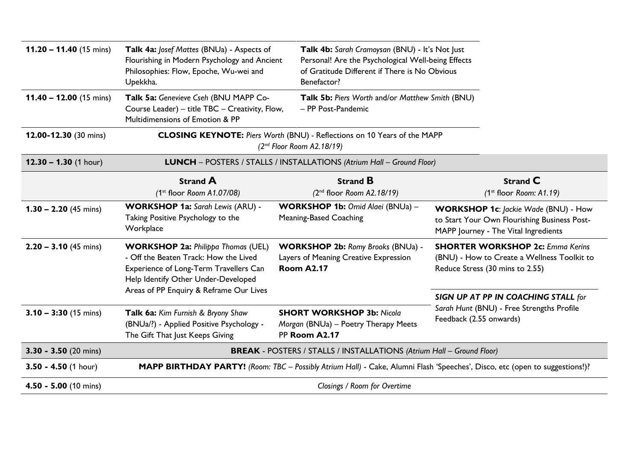| 11.20 - 11.40 (15 mins)   | Talk 4a: Josef Mattes (BNUa) - Aspects of<br>Flourishing in Modern Psychology and Ancient<br>Philosophies: Flow, Epoche, Wu-wei and<br>Upekkha.                     | Talk 4b: Sarah Cramoysan (BNU) - It's Not Just<br>Personal! Are the Psychological Well-being Effects<br>of Gratitude Different if There is No Obvious<br>Benefactor? |                                                                                                                                     |  |
|---------------------------|---------------------------------------------------------------------------------------------------------------------------------------------------------------------|----------------------------------------------------------------------------------------------------------------------------------------------------------------------|-------------------------------------------------------------------------------------------------------------------------------------|--|
| $11.40 - 12.00$ (15 mins) | Talk 5a: Genevieve Cseh (BNU MAPP Co-<br>Course Leader) - title TBC - Creativity, Flow,<br>Multidimensions of Emotion & PP                                          | Talk 5b: Piers Worth and/or Matthew Smith (BNU)<br>- PP Post-Pandemic                                                                                                |                                                                                                                                     |  |
| 12.00-12.30 (30 mins)     | CLOSING KEYNOTE: Piers Worth (BNU) - Reflections on 10 Years of the MAPP<br>$(2nd$ Floor Room A2.18/19)                                                             |                                                                                                                                                                      |                                                                                                                                     |  |
| $12.30 - 1.30$ (1 hour)   |                                                                                                                                                                     | LUNCH - POSTERS / STALLS / INSTALLATIONS (Atrium Hall - Ground Floor)                                                                                                |                                                                                                                                     |  |
|                           | <b>Strand A</b><br>$(1^{st}$ floor Room A1.07/08)                                                                                                                   | <b>Strand B</b><br>$(2nd$ floor Room A2.18/19)                                                                                                                       | <b>Strand C</b><br>$(1st$ floor Room: A1.19)                                                                                        |  |
| $1.30 - 2.20$ (45 mins)   | <b>WORKSHOP 1a:</b> Sarah Lewis (ARU) -<br>Taking Positive Psychology to the<br>Workplace                                                                           | WORKSHOP 1b: Omid Alaei (BNUa) -<br>Meaning-Based Coaching                                                                                                           | <b>WORKSHOP 1c: Jackie Wade (BNU) - How</b><br>to Start Your Own Flourishing Business Post-<br>MAPP Journey - The Vital Ingredients |  |
| $2.20 - 3.10$ (45 mins)   | <b>WORKSHOP 2a: Philippa Thomas (UEL)</b><br>- Off the Beaten Track: How the Lived<br>Experience of Long-Term Travellers Can<br>Help Identify Other Under-Developed | <b>WORKSHOP 2b: Romy Brooks (BNUa) -</b><br>Layers of Meaning Creative Expression<br><b>Room A2.17</b>                                                               | <b>SHORTER WORKSHOP 2c: Emma Kerins</b><br>(BNU) - How to Create a Wellness Toolkit to<br>Reduce Stress (30 mins to 2.55)           |  |
|                           | Areas of PP Enquiry & Reframe Our Lives                                                                                                                             |                                                                                                                                                                      | SIGN UP AT PP IN COACHING STALL for<br>Sarah Hunt (BNU) - Free Strengths Profile<br>Feedback (2.55 onwards)                         |  |
| $3.10 - 3:30$ (15 mins)   | Talk 6a: Kim Furnish & Bryony Shaw<br>(BNUa/?) - Applied Positive Psychology -<br>The Gift That Just Keeps Giving                                                   | <b>SHORT WORKSHOP 3b: Nicola</b><br>Morgan (BNUa) - Poetry Therapy Meets<br>PP Room A2.17                                                                            |                                                                                                                                     |  |
| $3.30 - 3.50$ (20 mins)   |                                                                                                                                                                     | <b>BREAK - POSTERS / STALLS / INSTALLATIONS (Atrium Hall - Ground Floor)</b>                                                                                         |                                                                                                                                     |  |
| $3.50 - 4.50$ (1 hour)    | MAPP BIRTHDAY PARTY! (Room: TBC - Possibly Atrium Hall) - Cake, Alumni Flash 'Speeches', Disco, etc (open to suggestions!)?                                         |                                                                                                                                                                      |                                                                                                                                     |  |
| 4.50 - 5.00 (10 mins)     | Closings / Room for Overtime                                                                                                                                        |                                                                                                                                                                      |                                                                                                                                     |  |